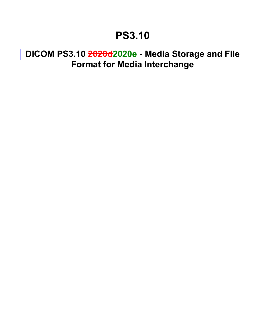## **PS3.10**

## **DICOM PS3.10 2020d2020e - Media Storage and File Format for Media Interchange**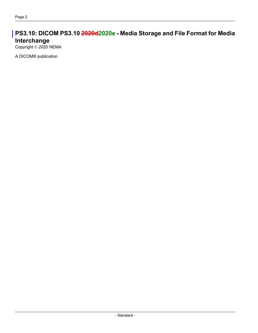## **PS3.10: DICOM PS3.10 2020d2020e - Media Storage and File Format for Media Interchange**

Copyright © 2020 NEMA

A DICOM® publication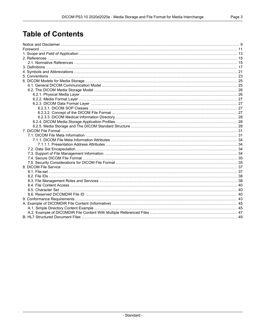## **Table of Contents**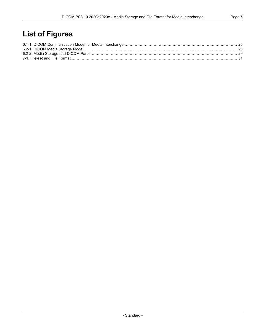## **List of Figures**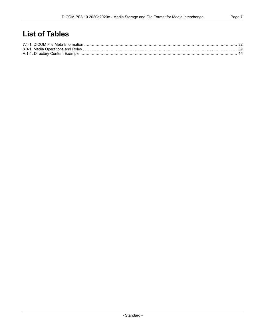## **List of Tables**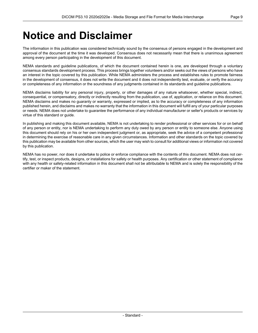## <span id="page-8-0"></span>**Notice and Disclaimer**

The information in this publication was considered technically sound by the consensus of persons engaged in the development and approval of the document at the time it was developed. Consensus does not necessarily mean that there is unanimous agreement among every person participating in the development of this document.

NEMA standards and guideline publications, of which the document contained herein is one, are developed through a voluntary consensus standards development process. This process brings together volunteers and/or seeks out the views of persons who have an interest in the topic covered by this publication. While NEMA administers the process and establishes rules to promote fairness in the development of consensus, it does not write the document and it does not independently test, evaluate, or verify the accuracy or completeness of any information or the soundness of any judgments contained in its standards and guideline publications.

NEMA disclaims liability for any personal injury, property, or other damages of any nature whatsoever, whether special, indirect, consequential, or compensatory, directly or indirectly resulting from the publication, use of, application, or reliance on this document. NEMA disclaims and makes no guaranty or warranty, expressed or implied, as to the accuracy or completeness of any information published herein, and disclaims and makes no warranty that the information in this document will fulfill any of your particular purposes or needs. NEMA does not undertake to guarantee the performance of any individual manufacturer or seller's products or services by virtue of this standard or guide.

In publishing and making this document available, NEMA is not undertaking to render professional or other services for or on behalf of any person or entity, nor is NEMA undertaking to perform any duty owed by any person or entity to someone else. Anyone using this document should rely on his or her own independent judgment or, as appropriate, seek the advice of a competent professional in determining the exercise of reasonable care in any given circumstances. Information and other standards on the topic covered by this publication may be available from other sources, which the user may wish to consult for additional views or information not covered by this publication.

NEMA has no power, nor does it undertake to police or enforce compliance with the contents of this document. NEMA does not cer tify, test, or inspect products, designs, or installations for safety or health purposes. Any certification or other statement of compliance with any health or safety-related information in this document shall not be attributable to NEMA and is solely the responsibility of the certifier or maker of the statement.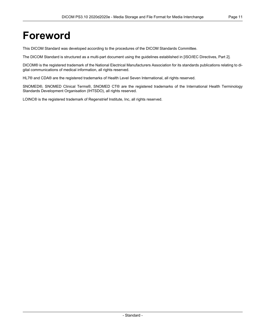## <span id="page-10-0"></span>**Foreword**

This DICOM Standard was developed according to the procedures of the DICOM Standards Committee.

The DICOM Standard is structured as a multi-part document using the guidelines established in [ISO/IEC [Directives,](#page-14-2) Part 2].

DICOM® is the registered trademark of the National Electrical Manufacturers Association for its standards publications relating to di gital communications of medical information, all rights reserved.

HL7® and CDA® are the registered trademarks of Health Level Seven International, all rights reserved.

SNOMED®, SNOMED Clinical Terms®, SNOMED CT® are the registered trademarks of the International Health Terminology Standards Development Organisation (IHTSDO), all rights reserved.

LOINC® is the registered trademark of Regenstrief Institute, Inc, all rights reserved.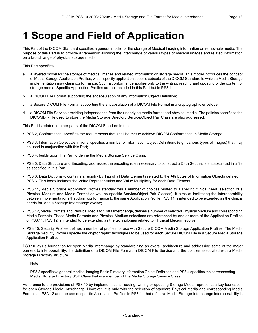## <span id="page-12-0"></span>**1 Scope and Field of Application**

This Part of the DICOM Standard specifies a general model for the storage of Medical Imaging information on removable media. The purpose of this Part is to provide a framework allowing the interchange of various types of medical images and related information on a broad range of physical storage media.

This Part specifies:

- a. a layered model for the storage of medical images and related information on storage media. This model introduces the concept of Media Storage Application Profiles, which specify application specific subsets of the DICOM Standard to which a Media Storage implementation may claim conformance. Such a conformance applies only to the writing, reading and updating of the content of storage media. Specific Application Profiles are not included in this Part but in [PS3.11](part11.pdf#PS3.11);
- b. a DICOM File Format supporting the encapsulation of any Information Object Definition;
- c. a Secure DICOM File Format supporting the encapsulation of a DICOM File Format in a cryptographic envelope;
- d. a DICOM File Service providing independence from the underlying media format and physical media. The policies specific to the DICOMDIR file used to store the Media Storage Directory Service/Object Pair Class are also addressed.

This Part is related to other parts of the DICOM Standard in that:

- [PS3.2](part02.pdf#PS3.2), Conformance, specifies the requirements that shall be met to achieve DICOM Conformance in Media Storage;
- [PS3.3](part03.pdf#PS3.3), Information Object Definitions, specifies a number of Information Object Definitions (e.g., various types of images) that may be used in conjunction with this Part;
- [PS3.4](part04.pdf#PS3.4), builds upon this Part to define the Media Storage Service Class;
- [PS3.5](part05.pdf#PS3.5), Data Structure and Encoding, addresses the encoding rules necessary to construct a Data Set that is encapsulated in a file as specified in this Part;
- [PS3.6](part06.pdf#PS3.6), Data Dictionary, contains a registry by Tag of all Data Elements related to the Attributes of Information Objects defined in [PS3.3](part03.pdf#PS3.3). This index includes the Value Representation and Value Multiplicity for each Data Element;
- [PS3.11](part11.pdf#PS3.11), Media Storage Application Profiles standardizes a number of choices related to a specific clinical need (selection of a Physical Medium and Media Format as well as specific Service/Object Pair Classes). It aims at facilitating the interoperability between implementations that claim conformance to the same Application Profile. [PS3.11](part11.pdf#PS3.11) is intended to be extended as the clinical needs for Media Storage Interchange evolve;
- [PS3.12](part12.pdf#PS3.12), Media Formats and Physical Media for Data Interchange, defines a number of selected Physical Medium and corresponding Media Formats. These Media Formats and Physical Medium selections are referenced by one or more of the Application Profiles of [PS3.11](part11.pdf#PS3.11). [PS3.12](part12.pdf#PS3.12) is intended to be extended as the technologies related to Physical Medium evolve.
- [PS3.15](part15.pdf#PS3.15), Security Profiles defines a number of profiles for use with Secure DICOM Media Storage Application Profiles. The Media Storage Security Profiles specify the cryptographic techniques to be used for each Secure DICOM File in a Secure Media Storage Application Profile.

PS3.10 lays a foundation for open Media Interchange by standardizing an overall architecture and addressing some of the major barriers to interoperability: the definition of a DICOM File Format, a DICOM File Service and the policies associated with a Media Storage Directory structure.

Note

[PS3.3](part03.pdf#PS3.3) specifies a general medical imaging Basic Directory Information Object Definition and [PS3.4](part04.pdf#PS3.4) specifies the corresponding Media Storage Directory SOP Class that is a member of the Media Storage Service Class.

Adherence to the provisions of PS3.10 by implementations reading, writing or updating Storage Media represents a key foundation for open Storage Media Interchange. However, it is only with the selection of standard Physical Media and corresponding Media Formats in [PS3.12](part12.pdf#PS3.12) and the use of specific Application Profiles in [PS3.11](part11.pdf#PS3.11) that effective Media Storage Interchange interoperability is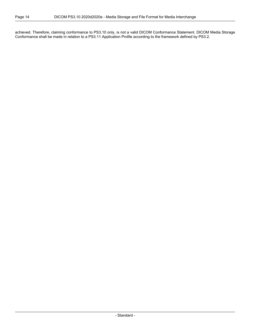achieved. Therefore, claiming conformance to PS3.10 only, is not a valid DICOM Conformance Statement. DICOM Media Storage Conformance shall be made in relation to a [PS3.11](part11.pdf#PS3.11) Application Profile according to the framework defined by [PS3.2.](part02.pdf#PS3.2)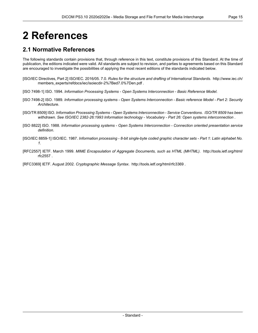# <span id="page-14-0"></span>**2 References**

## <span id="page-14-1"></span>**2.1 Normative References**

The following standards contain provisions that, through reference in this text, constitute provisions of this Standard. At the time of publication, the editions indicated were valid. All standards are subject to revision, and parties to agreements based on this Standard are encouraged to investigate the possibilities of applying the most recent editions of the standards indicated below.

- <span id="page-14-3"></span><span id="page-14-2"></span>[ISO/IEC Directives, Part 2] ISO/IEC. 2016/05. 7.0. *Rules for the structure and drafting of International Standards*. [http://www.iec.ch/](http://www.iec.ch/members_experts/refdocs/iec/isoiecdir-2%7Bed7.0%7Den.pdf) [members\\_experts/refdocs/iec/isoiecdir-2%7Bed7.0%7Den.pdf](http://www.iec.ch/members_experts/refdocs/iec/isoiecdir-2%7Bed7.0%7Den.pdf) .
- <span id="page-14-4"></span>[ISO 7498-1] ISO. 1994. *Information Processing Systems - Open Systems Interconnection - Basic Reference Model*.
- <span id="page-14-5"></span>[ISO 7498-2] ISO. 1989. Information processing systems - Open Systems Interconnection - Basic reference Model - Part 2: Security *Architecture*.
- <span id="page-14-6"></span>[ISO/TR 8509] ISO. *Information Processing Systems - Open Systems Interconnection - Service Conventions*. *ISO/TR 8509 has been withdrawn. See ISO/IEC 2382-26:1993 Information technology - Vocabulary - Part 26: Open systems interconnection* .
- [ISO 8822] ISO. 1988. *Information processing systems - Open Systems Interconnection - Connection oriented presentation service definition*.
- [ISO/IEC 8859-1] ISO/IEC. 1987. Information processing 8-bit single-byte coded graphic character sets Part 1: Latin alphabet No. *1*.
- [RFC2557] IETF. March 1999. *MIME Encapsulation of Aggregate Documents, such as HTML (MHTML)*. [http://tools.ietf.org/html/](http://tools.ietf.org/html/rfc2557) [rfc2557](http://tools.ietf.org/html/rfc2557) .

[RFC3369] IETF. August 2002. *Cryptographic Message Syntax*. <http://tools.ietf.org/html/rfc3369> .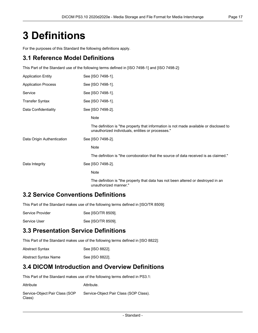## <span id="page-16-0"></span>**3 Definitions**

For the purposes of this Standard the following definitions apply.

### **3.1 Reference Model Definitions**

This Part of the Standard use of the following terms defined in [ISO [7498-1\]](#page-14-3) and [ISO [7498-2\]](#page-14-4):

| <b>Application Entity</b>  | See [ISO 7498-1].                                                                                                                           |
|----------------------------|---------------------------------------------------------------------------------------------------------------------------------------------|
| <b>Application Process</b> | See [ISO 7498-1].                                                                                                                           |
| Service                    | See [ISO 7498-1].                                                                                                                           |
| <b>Transfer Syntax</b>     | See [ISO 7498-1].                                                                                                                           |
| Data Confidentiality       | See [ISO 7498-2].                                                                                                                           |
|                            | Note                                                                                                                                        |
|                            | The definition is "the property that information is not made available or disclosed to<br>unauthorized individuals, entities or processes." |
| Data Origin Authentication | See [ISO 7498-2].                                                                                                                           |
|                            | Note                                                                                                                                        |
|                            | The definition is "the corroboration that the source of data received is as claimed."                                                       |
| Data Integrity             | See [ISO 7498-2].                                                                                                                           |
|                            | Note                                                                                                                                        |
|                            | The definition is "the property that data has not been altered or destroyed in an<br>unauthorized manner."                                  |

### **3.2 Service Conventions Definitions**

This Part of the Standard makes use of the following terms defined in [\[ISO/TR](#page-14-5) 8509]:

| Service Provider | See [ISO/TR 8509]. |
|------------------|--------------------|
|                  |                    |

Service User See [\[ISO/TR](#page-14-5) 8509].

## **3.3 Presentation Service Definitions**

This Part of the Standard makes use of the following terms defined in [ISO [8822\]](#page-14-6):

| <b>Abstract Syntax</b> | See [ISO 8822]. |
|------------------------|-----------------|
| Abstract Syntax Name   | See [ISO 8822]. |

### **3.4 DICOM Introduction and Overview Definitions**

This Part of the Standard makes use of the following terms defined in [PS3.1:](part01.pdf#PS3.1)

| Attribute                                | Attribute.                             |
|------------------------------------------|----------------------------------------|
| Service-Object Pair Class (SOP<br>Class) | Service-Object Pair Class (SOP Class). |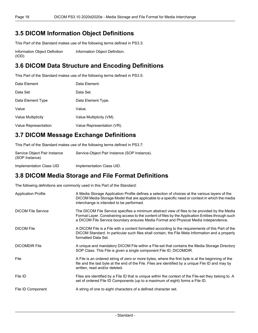## **3.5 DICOM Information Object Definitions**

This Part of the Standard makes use of the following terms defined in [PS3.3:](part03.pdf#PS3.3)

Information Object Definition (IOD) [Information](part03.pdf#glossentry_InformationObjectDefinition) Object Definition.

## **3.6 DICOM Data Structure and Encoding Definitions**

This Part of the Standard makes use of the following terms defined in [PS3.5:](part05.pdf#PS3.5)

| Data Element         | Data Element.              |
|----------------------|----------------------------|
| Data Set             | Data Set.                  |
| Data Element Type    | Data Element Type.         |
| Value                | Value.                     |
| Value Multiplicity   | Value Multiplicity (VM).   |
| Value Representation | Value Representation (VR). |

## **3.7 DICOM Message Exchange Definitions**

This Part of the Standard makes use of the following terms defined in [PS3.7:](part07.pdf#PS3.7)

| Service Object Pair Instance<br>(SOP Instance) | Service-Object Pair Instance (SOP Instance). |
|------------------------------------------------|----------------------------------------------|
| Implementation Class UID                       | Implementation Class UID.                    |

## **3.8 DICOM Media Storage and File Format Definitions**

The following definitions are commonly used in this Part of the Standard:

| <b>Application Profile</b> | A Media Storage Application Profile defines a selection of choices at the various layers of the<br>DICOM Media Storage Model that are applicable to a specific need or context in which the media<br>interchange is intended to be performed.                                              |
|----------------------------|--------------------------------------------------------------------------------------------------------------------------------------------------------------------------------------------------------------------------------------------------------------------------------------------|
| <b>DICOM File Service</b>  | The DICOM File Service specifies a minimum abstract view of files to be provided by the Media<br>Format Layer. Constraining access to the content of files by the Application Entities through such<br>a DICOM File Service boundary ensures Media Format and Physical Media independence. |
| <b>DICOM File</b>          | A DICOM File is a File with a content formatted according to the requirements of this Part of the<br>DICOM Standard. In particular such files shall contain, the File Meta Information and a properly<br>formatted Data Set.                                                               |
| <b>DICOMDIR File</b>       | A unique and mandatory DICOM File within a File-set that contains the Media Storage Directory<br>SOP Class. This File is given a single component File ID, DICOMDIR.                                                                                                                       |
| File                       | A File is an ordered string of zero or more bytes, where the first byte is at the beginning of the<br>file and the last byte at the end of the File. Files are identified by a unique File ID and may by<br>written, read and/or deleted.                                                  |
| File ID                    | Files are identified by a File ID that is unique within the context of the File-set they belong to. A<br>set of ordered File ID Components (up to a maximum of eight) forms a File ID.                                                                                                     |
| File ID Component          | A string of one to eight characters of a defined character set.                                                                                                                                                                                                                            |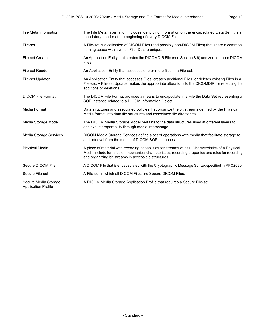| File Meta Information                              | The File Meta Information includes identifying information on the encapsulated Data Set. It is a<br>mandatory header at the beginning of every DICOM File.                                                                                                       |
|----------------------------------------------------|------------------------------------------------------------------------------------------------------------------------------------------------------------------------------------------------------------------------------------------------------------------|
| File-set                                           | A File-set is a collection of DICOM Files (and possibly non-DICOM Files) that share a common<br>naming space within which File IDs are unique.                                                                                                                   |
| <b>File-set Creator</b>                            | An Application Entity that creates the DICOMDIR File (see Section 8.6) and zero or more DICOM<br>Files.                                                                                                                                                          |
| File-set Reader                                    | An Application Entity that accesses one or more files in a File-set.                                                                                                                                                                                             |
| <b>File-set Updater</b>                            | An Application Entity that accesses Files, creates additional Files, or deletes existing Files in a<br>File-set. A File-set Updater makes the appropriate alterations to the DICOMDIR file reflecting the<br>additions or deletions.                             |
| <b>DICOM File Format</b>                           | The DICOM File Format provides a means to encapsulate in a File the Data Set representing a<br>SOP Instance related to a DICOM Information Object.                                                                                                               |
| Media Format                                       | Data structures and associated policies that organize the bit streams defined by the Physical<br>Media format into data file structures and associated file directories.                                                                                         |
| Media Storage Model                                | The DICOM Media Storage Model pertains to the data structures used at different layers to<br>achieve interoperability through media interchange.                                                                                                                 |
| Media Storage Services                             | DICOM Media Storage Services define a set of operations with media that facilitate storage to<br>and retrieval from the media of DICOM SOP Instances.                                                                                                            |
| <b>Physical Media</b>                              | A piece of material with recording capabilities for streams of bits. Characteristics of a Physical<br>Media include form factor, mechanical characteristics, recording properties and rules for recording<br>and organizing bit streams in accessible structures |
| Secure DICOM File                                  | A DICOM File that is encapsulated with the Cryptographic Message Syntax specified in RFC2630.                                                                                                                                                                    |
| Secure File-set                                    | A File-set in which all DICOM Files are Secure DICOM Files.                                                                                                                                                                                                      |
| Secure Media Storage<br><b>Application Profile</b> | A DICOM Media Storage Application Profile that requires a Secure File-set.                                                                                                                                                                                       |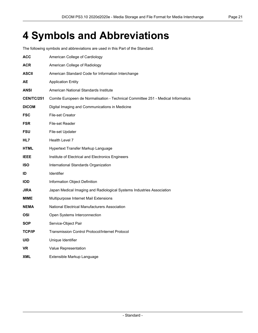## <span id="page-20-0"></span>**4 Symbols and Abbreviations**

The following symbols and abbreviations are used in this Part of the Standard.

| ACC               | American College of Cardiology                                                   |
|-------------------|----------------------------------------------------------------------------------|
| <b>ACR</b>        | American College of Radiology                                                    |
| <b>ASCII</b>      | American Standard Code for Information Interchange                               |
| AЕ                | <b>Application Entity</b>                                                        |
| ANSI              | American National Standards Institute                                            |
| <b>CEN/TC/251</b> | Comite Europeen de Normalisation - Technical Committee 251 - Medical Informatics |
| <b>DICOM</b>      | Digital Imaging and Communications in Medicine                                   |
| <b>FSC</b>        | <b>File-set Creator</b>                                                          |
| <b>FSR</b>        | File-set Reader                                                                  |
| <b>FSU</b>        | File-set Updater                                                                 |
| HL7               | Health Level 7                                                                   |
| <b>HTML</b>       | Hypertext Transfer Markup Language                                               |
| <b>IEEE</b>       | Institute of Electrical and Electronics Engineers                                |
| <b>ISO</b>        | International Standards Organization                                             |
| ID                | <b>Identifier</b>                                                                |
| <b>IOD</b>        | Information Object Definition                                                    |
| <b>JIRA</b>       | Japan Medical Imaging and Radiological Systems Industries Association            |
| MIME              | Multipurpose Internet Mail Extensions                                            |
| <b>NEMA</b>       | National Electrical Manufacturers Association                                    |
| OSI               | Open Systems Interconnection                                                     |
| <b>SOP</b>        | Service-Object Pair                                                              |
| <b>TCP/IP</b>     | <b>Transmission Control Protocol/Internet Protocol</b>                           |
| <b>UID</b>        | Unique Identifier                                                                |
| VR                | Value Representation                                                             |
| XML               | Extensible Markup Language                                                       |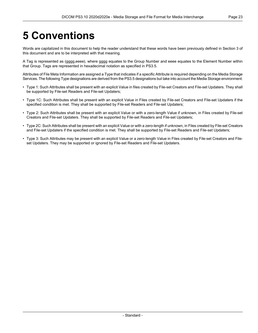# <span id="page-22-0"></span>**5 Conventions**

Words are capitalized in this document to help the reader understand that these words have been previously defined in Section 3 of this document and are to be interpreted with that meaning.

A Tag is represented as (gggg,eeee), where gggg equates to the Group Number and eeee equates to the Element Number within that Group. Tags are represented in hexadecimal notation as specified in [PS3.5.](part05.pdf#PS3.5)

Attributes of File Meta Information are assigned a Type that indicates if a specific Attribute is required depending on the Media Storage Services. The following Type designations are derived from the [PS3.5](part05.pdf#PS3.5) designations but take into account the Media Storage environment:

- Type 1: Such Attributes shall be present with an explicit Value in files created by File-set Creators and File-set Updaters. They shall be supported by File-set Readers and File-set Updaters;
- Type 1C: Such Attributes shall be present with an explicit Value in Files created by File-set Creators and File-set Updaters if the specified condition is met. They shall be supported by File-set Readers and File-set Updaters;
- Type 2: Such Attributes shall be present with an explicit Value or with a zero-length Value if unknown, in Files created by File-set Creators and File-set Updaters. They shall be supported by File-set Readers and File-set Updaters;
- Type 2C: Such Attributes shall be present with an explicit Value or with a zero-length if unknown, in Files created by File-set Creators and File-set Updaters if the specified condition is met. They shall be supported by File-set Readers and File-set Updaters;
- Type 3: Such Attributes may be present with an explicit Value or a zero-length Value in Files created by File-set Creators and File set Updaters. They may be supported or ignored by File-set Readers and File-set Updaters.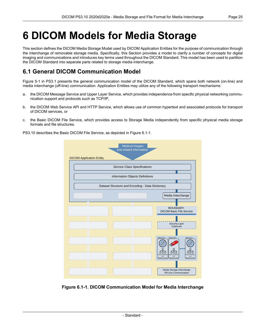## <span id="page-24-0"></span>**6 DICOM Models for Media Storage**

This section defines the DICOM Media Storage Model used by DICOM Application Entities for the purpose of communication through the interchange of removable storage media. Specifically, this Section provides a model to clarify a number of concepts for digital imaging and communications and introduces key terms used throughout the DICOM Standard. This model has been used to partition the DICOM Standard into separate parts related to storage media interchange.

## <span id="page-24-1"></span>**6.1 General DICOM Communication Model**

[Figure](part01.pdf#figure_5-1) 5-1 in PS3.1 presents the general communication model of the DICOM Standard, which spans both network (on-line) and media interchange (off-line) communication. Application Entities may utilize any of the following transport mechanisms:

- a. the DICOM Message Service and Upper Layer Service, which provides independence from specific physical networking commu nication support and protocols such as TCP/IP,
- b. the DICOM Web Service API and HTTP Service, which allows use of common hypertext and associated protocols for transport of DICOM services, or
- c. the Basic DICOM File Service, which provides access to Storage Media independently from specific physical media storage formats and file structures.

<span id="page-24-2"></span>PS3.10 describes the Basic DICOM File Service, as depicted in [Figure](#page-24-2) 6.1-1.



**Figure 6.1-1. DICOM Communication Model for Media Interchange**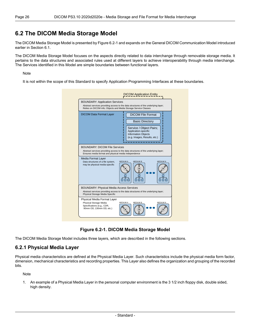### <span id="page-25-0"></span>**6.2 The DICOM Media Storage Model**

The DICOM Media Storage Model is presented by [Figure](#page-25-2) 6.2-1 and expands on the General DICOM Communication Model introduced earlier in [Section](#page-24-1) 6.1.

The DICOM Media Storage Model focuses on the aspects directly related to data interchange through removable storage media. It pertains to the data structures and associated rules used at different layers to achieve interoperability through media interchange. The Services identified in this Model are simple boundaries between functional layers.

#### Note

<span id="page-25-2"></span>It is not within the scope of this Standard to specify Application Programming Interfaces at these boundaries.

| Relies on DICOM info; Objects and Media Storage Service Classes                                                                                   | Abstract services providing access to the data structures of the underlying layer;                                                          |
|---------------------------------------------------------------------------------------------------------------------------------------------------|---------------------------------------------------------------------------------------------------------------------------------------------|
| <b>DICOM Data Format Layer</b>                                                                                                                    | <b>DICOM File Format</b>                                                                                                                    |
|                                                                                                                                                   | <b>Basic Directory</b>                                                                                                                      |
|                                                                                                                                                   | Service / Object Pairs;                                                                                                                     |
|                                                                                                                                                   | Application-specific<br><b>Information Objects</b>                                                                                          |
|                                                                                                                                                   | (e.g. Images, Results, etc.)                                                                                                                |
| <b>BOUNDARY: DICOM File Services</b>                                                                                                              |                                                                                                                                             |
| Ensures media format and physical media independence<br>Media Format Layer<br>Data structures of a file system,<br>may be physical media-specific | Abstract services providing access to the data structures of the underlying layer;<br><b>MEDIUM A</b><br><b>MEDIUM B</b><br><b>MEDIUM N</b> |
| <b>BOUNDARY: Physical Media Access Services</b><br>Physical Storage Media Specific                                                                | Abstract services providing access to the data structures of the underlying layer;                                                          |
| Physical Media Format Layer                                                                                                                       | <b>MEDIUM A</b><br><b>MEDIUM B</b><br><b>MEDIUM N</b>                                                                                       |
| Physical Storage Media<br>Specifications (e.g., CDR,<br>90mm OD, 130mm OD, etc.)                                                                  |                                                                                                                                             |

**Figure 6.2-1. DICOM Media Storage Model**

<span id="page-25-1"></span>The DICOM Media Storage Model includes three layers, which are described in the following sections.

#### **6.2.1 Physical Media Layer**

Physical media characteristics are defined at the Physical Media Layer. Such characteristics include the physical media form factor, dimension, mechanical characteristics and recording properties. This Layer also defines the organization and grouping of the recorded bits.

Note

1. An example of a Physical Media Layer in the personal computer environment is the 3 1/2 inch floppy disk, double sided, high density.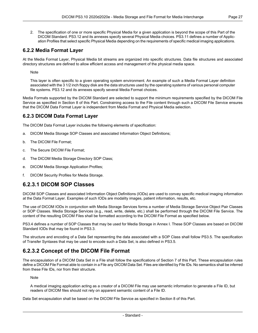2. The specification of one or more specific Physical Media for a given application is beyond the scope of this Part of the DICOM Standard. [PS3.12](part12.pdf#PS3.12) and its annexes specify several Physical Media choices. [PS3.11](part11.pdf#PS3.11) defines a number of Applic ation Profiles that select specific Physical Media depending on the requirements of specific medical imaging applications.

#### <span id="page-26-0"></span>**6.2.2 Media Format Layer**

At the Media Format Layer, Physical Media bit streams are organized into specific structures. Data file structures and associated directory structures are defined to allow efficient access and management of the physical media space.

Note

This layer is often specific to a given operating system environment. An example of such a Media Format Layer definition associated with the 3 1/2 inch floppy disk are the data structures used by the operating systems of various personal computer file systems. [PS3.12](part12.pdf#PS3.12) and its annexes specify several Media Format choices.

<span id="page-26-1"></span>Media Formats supported by the DICOM Standard are selected to support the minimum requirements specified by the DICOM File Service as specified in Section 8 of this Part. Constraining access to the File content through such a DICOM File Service ensures that the DICOM Data Format Layer is independent from Media Format and Physical Media selection.

#### **6.2.3 DICOM Data Format Layer**

The DICOM Data Format Layer includes the following elements of specification:

- a. DICOM Media Storage SOP Classes and associated Information Object Definitions;
- b. The DICOM File Format;
- c. The Secure DICOM File Format;
- d. The DICOM Media Storage Directory SOP Class;
- <span id="page-26-2"></span>e. DICOM Media Storage Application Profiles;
- f. DICOM Security Profiles for Media Storage.

#### **6.2.3.1 DICOM SOP Classes**

DICOM SOP Classes and associated Information Object Definitions (IODs) are used to convey specific medical imaging information at the Data Format Layer. Examples of such IODs are modality images, patient information, results, etc.

The use of DICOM IODs in conjunction with Media Storage Services forms a number of Media Storage Service Object Pair Classes or SOP Classes. Media Storage Services (e.g., read, write, delete, etc.) shall be performed through the DICOM File Service. The content of the resulting DICOM Files shall be formatted according to the DICOM File Format as specified below.

<span id="page-26-3"></span>[PS3.4](part04.pdf#PS3.4) defines a number of SOP Classes that may be used for Media Storage in [Annex](part04.pdf#chapter_I) I. These SOP Classes are based on DICOM Standard IODs that may be found in [PS3.3](part03.pdf#PS3.3).

The structure and encoding of a Data Set representing the data associated with a SOP Class shall follow [PS3.5.](part05.pdf#PS3.5) The specification of Transfer Syntaxes that may be used to encode such a Data Set, is also defined in [PS3.5.](part05.pdf#PS3.5)

#### **6.2.3.2 Concept of the DICOM File Format**

The encapsulation of a DICOM Data Set in a File shall follow the specifications of Section 7 of this Part. These encapsulation rules define a DICOM File Format able to contain in a File any DICOM Data Set. Files are identified by File IDs. No semantics shall be inferred from these File IDs, nor from their structure.

Note

A medical imaging application acting as a creator of a DICOM File may use semantic information to generate a File ID, but readers of DICOM files should not rely on apparent semantic content of a File ID.

Data Set encapsulation shall be based on the DICOM File Service as specified in Section 8 of this Part.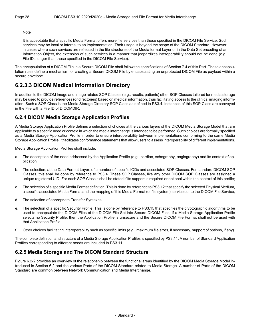#### **Note**

It is acceptable that a specific Media Format offers more file services than those specified in the DICOM File Service. Such services may be local or internal to an implementation. Their usage is beyond the scope of the DICOM Standard. However, in cases where such services are reflected in the file structures of the Media format Layer or in the Data Set encoding of an Information Object, the extension of such services in a manner that jeopardizes interoperability should not be done (e.g., File IDs longer than those specified in the DICOM File Service).

<span id="page-27-0"></span>The encapsulation of a DICOM File in a Secure DICOM File shall follow the specifications of [Section](#page-34-0) 7.4 of this Part. These encapsu lation rules define a mechanism for creating a Secure DICOM File by encapsulating an unprotected DICOM File as payload within a secure envelope.

### **6.2.3.3 DICOM Medical Information Directory**

<span id="page-27-1"></span>In addition to the DICOM Image and Image related SOP Classes (e.g., results, patients) other SOP Classes tailored for media storage may be used to provide references (or directories) based on medical information, thus facilitating access to the clinical imaging inform ation. Such a SOP Class is the Media Storage Directory SOP Class as defined in [PS3.4](part04.pdf#PS3.4). Instances of this SOP Class are conveyed in the File with a File ID of DICOMDIR.

#### **6.2.4 DICOM Media Storage Application Profiles**

A Media Storage Application Profile defines a selection of choices at the various layers of the DICOM Media Storage Model that are applicable to a specific need or context in which the media interchange is intended to be performed. Such choices are formally specified as a Media Storage Application Profile in order to ensure interoperability between implementations conforming to the same Media Storage Application Profile. It facilitates conformance statements that allow users to assess interoperability of different implementations.

Media Storage Application Profiles shall include:

- a. The description of the need addressed by the Application Profile (e.g., cardiac, echography, angiography) and its context of ap plication;
- b. The selection, at the Data Format Layer, of a number of specific IODs and associated SOP Classes. For standard DICOM SOP Classes, this shall be done by reference to [PS3.4.](part04.pdf#PS3.4) These SOP Classes, like any other DICOM SOP Classes are assigned a unique registered UID. For each SOP Class it shall be stated if its support is required or optional within the context of this profile;
- c. The selection of a specific Media Format definition. This is done by reference to [PS3.12](part12.pdf#PS3.12) that specify the selected Physical Medium, a specific associated Media Format and the mapping of this Media Format (or file system) services onto the DICOM File Service;
- d. The selection of appropriate Transfer Syntaxes;
- e. The selection of a specific Security Profile. This is done by reference to [PS3.15](part15.pdf#PS3.15) that specifies the cryptographic algorithms to be used to encapsulate the DICOM Files of the DICOM File Set into Secure DICOM Files. If a Media Storage Application Profile selects no Security Profile, then the Application Profile is unsecure and the Secure DICOM File Format shall not be used with that Application Profile;
- <span id="page-27-2"></span>f. Other choices facilitating interoperability such as specific limits (e.g., maximum file sizes, if necessary, support of options, if any).

The complete definition and structure of a Media Storage Application Profiles is specified by [PS3.11](part11.pdf#PS3.11). A number of Standard Application Profiles corresponding to different needs are included in [PS3.11](part11.pdf#PS3.11).

#### **6.2.5 Media Storage and The DICOM Standard Structure**

[Figure](#page-28-0) 6.2-2 provides an overview of the relationship between the functional areas identified by the DICOM Media Storage Model in troduced in [Section](#page-25-0) 6.2 and the various Parts of the DICOM Standard related to Media Storage. A number of Parts of the DICOM Standard are common between Network Communication and Media Interchange.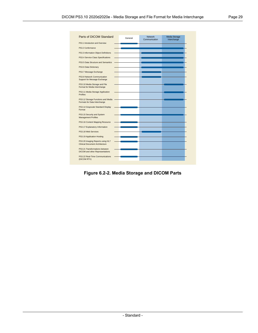<span id="page-28-0"></span>

| Parts of DICOM Standard                                                  | General | <b>Network</b><br>Communication | Media Storage<br>Interchange |
|--------------------------------------------------------------------------|---------|---------------------------------|------------------------------|
| PS3.1 Introduction and Overview                                          |         |                                 |                              |
| PS3.2 Conformance                                                        |         |                                 |                              |
| PS3.3 Information Object Definitions                                     |         |                                 |                              |
| PS3.4 Service Class Specifications                                       |         |                                 |                              |
| PS3.5 Data Structure and Semantics                                       |         |                                 |                              |
| PS3.6 Data Dictionary                                                    |         |                                 |                              |
| PS3.7 Message Exchange                                                   |         |                                 |                              |
| PS3.8 Network Communication<br>Support for Message Exchange              |         |                                 |                              |
| PS3.10 Media Storage and File<br>Format for Media Interchange            |         |                                 |                              |
| PS3.11 Media Storage Application<br>Profiles                             |         |                                 |                              |
| PS3.12 Storage Functions and Media -<br>Formats for Data Interchange     |         |                                 |                              |
| PS3.14 Grayscale Standard Display<br>Format                              |         |                                 |                              |
| PS3.15 Security and System<br><b>Management Profiles</b>                 |         |                                 |                              |
| PS3.16 Content Mapping Resource                                          |         |                                 |                              |
| PS3.17 Explanatory Information                                           |         |                                 |                              |
| PS3.18 Web Services                                                      |         |                                 |                              |
| PS3.19 Application Hosting                                               |         |                                 |                              |
| PS3.20 Imaging Reports using HL7<br>Clinical Document Architecture       |         |                                 |                              |
| PS3.21 Transformations between<br><b>DICOM</b> and other Representations |         |                                 |                              |
| PS3.22 Real-Time Communications<br>(DICOM RTV)                           |         |                                 |                              |

**Figure 6.2-2. Media Storage and DICOM Parts**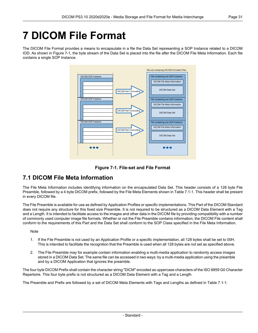# <span id="page-30-0"></span>**7 DICOM File Format**

<span id="page-30-2"></span>The DICOM File Format provides a means to encapsulate in a file the Data Set representing a SOP Instance related to a DICOM IOD. As shown in [Figure](#page-30-2) 7-1, the byte stream of the Data Set is placed into the file after the DICOM File Meta Information. Each file contains a single SOP Instance.





## <span id="page-30-1"></span>**7.1 DICOM File Meta Information**

The File Meta Information includes identifying information on the encapsulated Data Set. This header consists of a 128 byte File Preamble, followed by a 4 byte DICOM prefix, followed by the File Meta Elements shown in [Table](#page-31-0) 7.1-1. This header shall be present in every DICOM file.

The File Preamble is available for use as defined by Application Profiles or specific implementations. This Part of the DICOM Standard does not require any structure for this fixed size Preamble. It is not required to be structured as a DICOM Data Element with a Tag and a Length. It is intended to facilitate access to the images and other data in the DICOM file by providing compatibility with a number of commonly used computer image file formats. Whether or not the File Preamble contains information, the DICOM File content shall conform to the requirements of this Part and the Data Set shall conform to the SOP Class specified in the File Meta Information.

**Note** 

- 1. If the File Preamble is not used by an Application Profile or a specific implementation, all 128 bytes shall be set to 00H. This is intended to facilitate the recognition that the Preamble is used when all 128 bytes are not set as specified above.
- 2. The File Preamble may for example contain information enabling a multi-media application to randomly access images stored in a DICOM Data Set. The same file can be accessed in two ways: by a multi-media application using the preamble and by a DICOM Application that ignores the preamble.

The four byte DICOM Prefix shall contain the character string "DICM" encoded as uppercase characters of the ISO 8859 G0 Character Repertoire. This four byte prefix is not structured as a DICOM Data Element with a Tag and a Length.

The Preamble and Prefix are followed by a set of DICOM Meta Elements with Tags and Lengths as defined in [Table](#page-31-0) 7.1-1.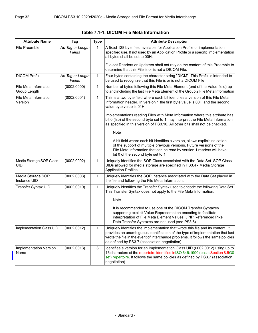<span id="page-31-0"></span>

| <b>Attribute Name</b>                 | Tag                        | <b>Type</b>  | <b>Attribute Description</b>                                                                                                                                                                                                                                                                             |
|---------------------------------------|----------------------------|--------------|----------------------------------------------------------------------------------------------------------------------------------------------------------------------------------------------------------------------------------------------------------------------------------------------------------|
| File Preamble                         | No Tag or Length<br>Fields | 1            | A fixed 128 byte field available for Application Profile or implementation<br>specified use. If not used by an Application Profile or a specific implementation<br>all bytes shall be set to 00H.                                                                                                        |
|                                       |                            |              | File-set Readers or Updaters shall not rely on the content of this Preamble to<br>determine that this File is or is not a DICOM File.                                                                                                                                                                    |
| <b>DICOM Prefix</b>                   | No Tag or Length<br>Fields | 1            | Four bytes containing the character string "DICM". This Prefix is intended to<br>be used to recognize that this File is or is not a DICOM File.                                                                                                                                                          |
| File Meta Information<br>Group Length | (0002,0000)                | 1            | Number of bytes following this File Meta Element (end of the Value field) up<br>to and including the last File Meta Element of the Group 2 File Meta Information                                                                                                                                         |
| File Meta Information<br>Version      | (0002,0001)                | $\mathbf{1}$ | This is a two byte field where each bit identifies a version of this File Meta<br>Information header. In version 1 the first byte value is 00H and the second<br>value byte value is 01H.                                                                                                                |
|                                       |                            |              | Implementations reading Files with Meta Information where this attribute has<br>bit 0 (Isb) of the second byte set to 1 may interpret the File Meta Information<br>as specified in this version of PS3.10. All other bits shall not be checked.                                                          |
|                                       |                            |              | Note                                                                                                                                                                                                                                                                                                     |
|                                       |                            |              | A bit field where each bit identifies a version, allows explicit indication<br>of the support of multiple previous versions. Future versions of the<br>File Meta Information that can be read by version 1 readers will have<br>bit 0 of the second byte set to 1                                        |
| Media Storage SOP Class<br>UID        | (0002, 0002)               | 1            | Uniquely identifies the SOP Class associated with the Data Set. SOP Class<br>UIDs allowed for media storage are specified in PS3.4 - Media Storage<br>Application Profiles.                                                                                                                              |
| Media Storage SOP<br>Instance UID     | (0002, 0003)               | 1            | Uniquely identifies the SOP Instance associated with the Data Set placed in<br>the file and following the File Meta Information.                                                                                                                                                                         |
| Transfer Syntax UID                   | (0002, 0010)               | 1            | Uniquely identifies the Transfer Syntax used to encode the following Data Set.<br>This Transfer Syntax does not apply to the File Meta Information.                                                                                                                                                      |
|                                       |                            |              | Note                                                                                                                                                                                                                                                                                                     |
|                                       |                            |              | It is recommended to use one of the DICOM Transfer Syntaxes<br>supporting explicit Value Representation encoding to facilitate<br>interpretation of File Meta Element Values. JPIP Referenced Pixel<br>Data Transfer Syntaxes are not used (see PS3.5).                                                  |
| Implementation Class UID              | (0002, 0012)               | 1            | Uniquely identifies the implementation that wrote this file and its content. It<br>provides an unambiguous identification of the type of implementation that last<br>wrote the file in the event of interchange problems. It follows the same policies<br>as defined by PS3.7 (association negotiation). |
| Implementation Version<br>Name        | (0002, 0013)               | 3            | Identifies a version for an Implementation Class UID (0002,0012) using up to<br>16 characters of the repertoire identified in ISO 646:1990 (basic Section 8.5G0<br>set) repertoire. It follows the same policies as defined by PS3.7 (association<br>negotiation).                                       |

|  |  |  | Table 7.1-1. DICOM File Meta Information |
|--|--|--|------------------------------------------|
|--|--|--|------------------------------------------|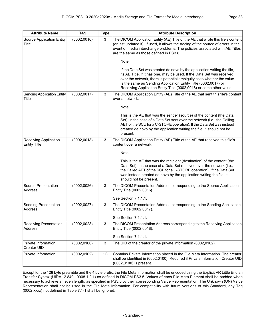| <b>Attribute Name</b>                        | Tag          | <b>Type</b> | <b>Attribute Description</b>                                                                                                                                                                                                                                                                                                                                          |
|----------------------------------------------|--------------|-------------|-----------------------------------------------------------------------------------------------------------------------------------------------------------------------------------------------------------------------------------------------------------------------------------------------------------------------------------------------------------------------|
| Source Application Entity<br>Title           | (0002, 0016) | 3           | The DICOM Application Entity (AE) Title of the AE that wrote this file's content<br>(or last updated it). If used, it allows the tracing of the source of errors in the<br>event of media interchange problems. The policies associated with AE Titles<br>are the same as those defined in PS3.8.                                                                     |
|                                              |              |             | Note                                                                                                                                                                                                                                                                                                                                                                  |
|                                              |              |             | If the Data Set was created de novo by the application writing the file,<br>its AE Title, if it has one, may be used. If the Data Set was received<br>over the network, there is potential ambiguity as to whether the value<br>is the same as Sending Application Entity Title (0002,0017) or<br>Receiving Application Entity Title (0002,0018) or some other value. |
| <b>Sending Application Entity</b><br>Title   | (0002, 0017) | 3           | The DICOM Application Entity (AE) Title of the AE that sent this file's content<br>over a network.                                                                                                                                                                                                                                                                    |
|                                              |              |             | Note                                                                                                                                                                                                                                                                                                                                                                  |
|                                              |              |             | This is the AE that was the sender (source) of the content (the Data<br>Set), in the case of a Data Set sent over the network (i.e., the Calling<br>AET of the SCU for a C-STORE operation). If the Data Set was instead<br>created de novo by the application writing the file, it should not be<br>present.                                                         |
| Receiving Application<br><b>Entity Title</b> | (0002, 0018) | 3           | The DICOM Application Entity (AE) Title of the AE that received this file's<br>content over a network.                                                                                                                                                                                                                                                                |
|                                              |              |             | Note                                                                                                                                                                                                                                                                                                                                                                  |
|                                              |              |             | This is the AE that was the recipient (destination) of the content (the<br>Data Set), in the case of a Data Set received over the network (i.e.,<br>the Called AET of the SCP for a C-STORE operation). If the Data Set<br>was instead created de novo by the application writing the file, it<br>should not be present.                                              |
| Source Presentation<br>Address               | (0002, 0026) | 3           | The DICOM Presentation Address corresponding to the Source Application<br>Entity Title (0002,0016).                                                                                                                                                                                                                                                                   |
|                                              |              |             | See Section 7.1.1.1.                                                                                                                                                                                                                                                                                                                                                  |
| Sending Presentation<br>Address              | (0002, 0027) | 3           | The DICOM Presentation Address corresponding to the Sending Application<br>Entity Title (0002,0017).                                                                                                                                                                                                                                                                  |
|                                              |              |             | See Section 7.1.1.1.                                                                                                                                                                                                                                                                                                                                                  |
| <b>Receiving Presentation</b><br>Address     | (0002, 0028) | 3           | The DICOM Presentation Address corresponding to the Receiving Application<br>Entity Title (0002,0018).                                                                                                                                                                                                                                                                |
|                                              |              |             | See Section 7.1.1.1.                                                                                                                                                                                                                                                                                                                                                  |
| Private Information<br>Creator UID           | (0002, 0100) | 3           | The UID of the creator of the private information (0002,0102).                                                                                                                                                                                                                                                                                                        |
| Private Information                          | (0002, 0102) | 1C          | Contains Private Information placed in the File Meta Information. The creator<br>shall be identified in (0002,0100). Required if Private Information Creator UID<br>(0002,0100) is present.                                                                                                                                                                           |

Except for the 128 byte preamble and the 4 byte prefix, the File Meta Information shall be encoded using the Explicit VR Little Endian Transfer Syntax (UID=1.2.840.10008.1.2.1) as defined in DICOM [PS3.5](part05.pdf#PS3.5). Values of each File Meta Element shall be padded when necessary to achieve an even length, as specified in [PS3.5](part05.pdf#PS3.5) by their corresponding Value Representation. The Unknown (UN) Value Representation shall not be used in the File Meta Information. For compatibility with future versions of this Standard, any Tag (0002,xxxx) not defined in [Table](#page-31-0) 7.1-1 shall be ignored.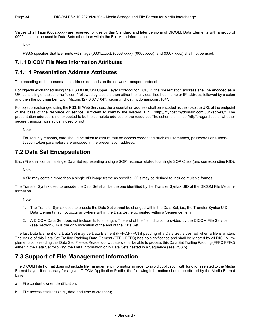Values of all Tags (0002,xxxx) are reserved for use by this Standard and later versions of DICOM. Data Elements with a group of 0002 shall not be used in Data Sets other than within the File Meta Information.

Note

<span id="page-33-0"></span>[PS3.5](part05.pdf#PS3.5) specifies that Elements with Tags (0001,xxxx), (0003,xxxx), (0005,xxxx), and (0007,xxxx) shall not be used.

#### <span id="page-33-1"></span>**7.1.1 DICOM File Meta Information Attributes**

### **7.1.1.1 Presentation Address Attributes**

The encoding of the presentation address depends on the network transport protocol.

For objects exchanged using the [PS3.8](part08.pdf#PS3.8) DICOM Upper Layer Protocol for TCP/IP, the presentation address shall be encoded as a URI consisting of the scheme "dicom" followed by a colon, then either the fully qualified host name or IP address, followed by a colon and then the port number. E.g., "dicom:127.0.0.1:104", "dicom:myhost.mydomain.com:104".

For objects exchanged using the [PS3.18](part18.pdf#PS3.18) Web Services, the presentation address shall be encoded as the absolute URL of the endpoint of the base of the resource or service, sufficient to identify the system. E.g., "http://myhost.mydomain.com:80/wado-rs/". The presentation address is not expected to be the complete address of the resource. The scheme shall be "http", regardless of whether secure transport was actually used or not.

<span id="page-33-2"></span>Note

For security reasons, care should be taken to assure that no access credentials such as usernames, passwords or authen tication token parameters are encoded in the presentation address.

### **7.2 Data Set Encapsulation**

Each File shall contain a single Data Set representing a single SOP Instance related to a single SOP Class (and corresponding IOD).

Note

A file may contain more than a single 2D image frame as specific IODs may be defined to include multiple frames.

The Transfer Syntax used to encode the Data Set shall be the one identified by the Transfer Syntax UID of the DICOM File Meta In formation.

Note

- 1. The Transfer Syntax used to encode the Data Set cannot be changed within the Data Set; i.e., the Transfer Syntax UID Data Element may not occur anywhere within the Data Set, e.g., nested within a Sequence Item.
- 2. A DICOM Data Set does not include its total length. The end of the file indication provided by the DICOM File Service (see [Section](#page-39-0) 8.4) is the only indication of the end of the Data Set.

<span id="page-33-3"></span>The last Data Element of a Data Set may be Data Element (FFFC,FFFC) if padding of a Data Set is desired when a file is written. The Value of this Data Set Trailing Padding Data Element (FFFC,FFFC) has no significance and shall be ignored by all DICOM im plementations reading this Data Set. File-set Readers or Updaters shall be able to process this Data Set Trailing Padding (FFFC,FFFC) either in the Data Set following the Meta Information or in Data Sets nested in a Sequence (see [PS3.5](part05.pdf#PS3.5)).

## **7.3 Support of File Management Information**

The DICOM File Format does not include file management information in order to avoid duplication with functions related to the Media Format Layer. If necessary for a given DICOM Application Profile, the following information should be offered by the Media Format Layer:

- a. File content owner identification;
- b. File access statistics (e.g., date and time of creation);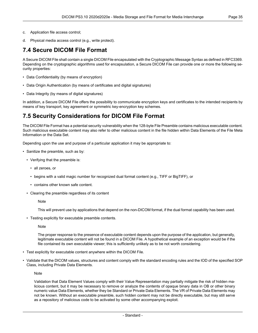<span id="page-34-0"></span>d. Physical media access control (e.g., write protect).

### **7.4 Secure DICOM File Format**

A Secure DICOM File shall contain a single DICOM File encapsulated with the Cryptographic Message Syntax as defined in RFC3369. Depending on the cryptographic algorithms used for encapsulation, a Secure DICOM File can provide one or more the following se curity properties:

- Data Confidentiality (by means of encryption)
- Data Origin Authentication (by means of certificates and digital signatures)
- Data Integrity (by means of digital signatures)

<span id="page-34-1"></span>In addition, a Secure DICOM File offers the possibility to communicate encryption keys and certificates to the intended recipients by means of key transport, key agreement or symmetric key-encryption key schemes.

### **7.5 Security Considerations for DICOM File Format**

The DICOM File Format has a potential security vulnerability when the 128-byte File Preamble contains malicious executable content. Such malicious executable content may also refer to other malicious content in the file hidden within Data Elements of the File Meta Information or the Data Set.

Depending upon the use and purpose of a particular application it may be appropriate to:

- Sanitize the preamble, such as by:
	- Verifying that the preamble is:
		- all zeroes, or
		- begins with a valid magic number for recognized dual format content (e.g., TIFF or BigTIFF), or
		- contains other known safe content.
	- Clearing the preamble regardless of its content

**Note** 

This will prevent use by applications that depend on the non-DICOM format, if the dual format capability has been used.

• Testing explicitly for executable preamble contents.

**Note** 

The proper response to the presence of executable content depends upon the purpose of the application, but generally, legitimate executable content will not be found in a DICOM File. A hypothetical example of an exception would be if the file contained its own executable viewer; this is sufficiently unlikely as to be not worth considering.

- Test explicitly for executable content anywhere within the DICOM File.
- Validate that the DICOM values, structures and content comply with the standard encoding rules and the IOD of the specified SOP Class, including Private Data Elements.

**Note** 

Validation that Data Element Values comply with their Value Representation may partially mitigate the risk of hidden ma licious content, but it may be necessary to remove or analyze the contents of opaque binary data in OB or other binary numeric value Data Elements, whether they be Standard or Private Data Elements. The VR of Private Data Elements may not be known. Without an executable preamble, such hidden content may not be directly executable, but may still serve as a repository of malicious code to be activated by some other accompanying exploit.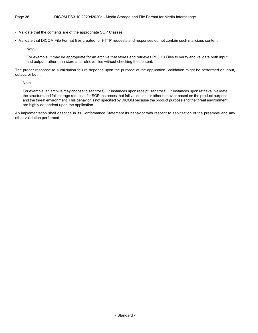• Validate that the contents are of the appropriate SOP Classes.

• Validate that DICOM File Format files created for HTTP requests and responses do not contain such malicious content.

Note

For example, it may be appropriate for an archive that stores and retrieves PS3.10 Files to verify and validate both input and output, rather than store and retrieve files without checking the content.

The proper response to a validation failure depends upon the purpose of the application. Validation might be performed on input, output, or both.

Note

For example, an archive may choose to sanitize SOP Instances upon receipt, sanitize SOP Instances upon retrieval, validate the structure and fail storage requests for SOP Instances that fail validation, or other behavior based on the product purpose and the threat environment. This behavior is not specified by DICOM because the product purpose and the threat environment are highly dependent upon the application.

An implementation shall describe in its Conformance Statement its behavior with respect to sanitization of the preamble and any other validation performed.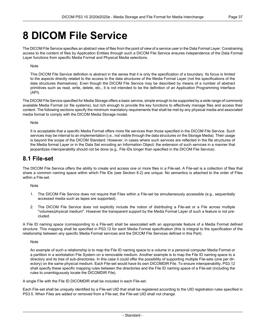## <span id="page-36-0"></span>**8 DICOM File Service**

The DICOM File Service specifies an abstract view of files from the point of view of a service user in the Data Format Layer. Constraining access to the content of files by Application Entities through such a DICOM File Service ensures independence of the Data Format Layer functions from specific Media Format and Physical Media selections.

#### Note

This DICOM File Service definition is abstract in the sense that it is only the specification of a boundary. Its focus is limited to the aspects directly related to the access to the data structures of the Media Format Layer (not the specifications of the data structures themselves). Even though the DICOM File Service may be described by means of a number of abstract primitives such as read, write, delete, etc., it is not intended to be the definition of an Application Programming Interface (API).

The DICOM File Service specified for Media Storage offers a basic service, simple enough to be supported by a wide range of commonly available Media Format (or file systems), but rich enough to provide the key functions to effectively manage files and access their content. The following sections specify the minimum mandatory requirements that shall be met by any physical media and associated media format to comply with the DICOM Media Storage model.

#### Note

<span id="page-36-1"></span>It is acceptable that a specific Media Format offers more file services than those specified in the DICOM File Service. Such services may be internal to an implementation (i.e., not visible through the data structures on the Storage Media). Their usage is beyond the scope of the DICOM Standard. However, in cases where such services are reflected in the file structures of the Media format Layer or in the Data Set encoding an Information Object, the extension of such services in a manner that jeopardizes interoperability should not be done (e.g., File IDs longer than specified in the DICOM File Service).

### **8.1 File-set**

The DICOM File Service offers the ability to create and access one or more files in a File-set. A File-set is a collection of files that share a common naming space within which File IDs (see [Section](#page-37-0) 8.2) are unique. No semantics is attached to the order of Files within a File-set.

Note

- 1. The DICOM File Service does not require that Files within a File-set be simultaneously accessible (e.g., sequentially accessed media such as tapes are supported).
- 2. The DICOM File Service does not explicitly include the notion of distributing a File-set or a File across multiple "volumes/physical medium". However the transparent support by the Media Format Layer of such a feature is not pre cluded.

A File ID naming space (corresponding to a File-set) shall be associated with an appropriate feature of a Media Format defined structure. This mapping shall be specified in [PS3.12](part12.pdf#PS3.12) for each Media Format specification (this is integral to the specification of the relationship between any specific Media Format services and the DICOM File Services defined in this Part).

Note

An example of such a relationship is to map the File ID naming space to a volume in a personal computer Media Format or a partition in a workstation File System on a removable medium. Another example is to map the File ID naming space to a directory and its tree of sub-directories. In this case it could offer the possibility of supporting multiple File-sets (one per dir ectory) on the same physical medium. Each File-set would have its own DICOMDIR File. To ensure interoperability, [PS3.12](part12.pdf#PS3.12) shall specify these specific mapping rules between the directories and the File ID naming space of a File-set (including the rules to unambiguously locate the DICOMDIR File).

A single File with the File ID DICOMDIR shall be included in each File-set.

Each File-set shall be uniquely identified by a File-set UID that shall be registered according to the UID registration rules specified in [PS3.5](part05.pdf#PS3.5). When Files are added or removed from a File-set, the File-set UID shall not change.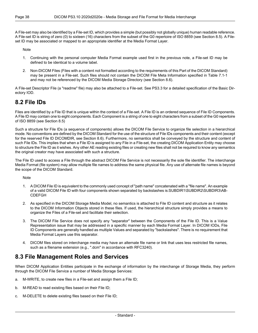A File-set may also be identified by a File-set ID, which provides a simple (but possibly not globally unique) human readable reference. A File-set ID is string of zero (0) to sixteen (16) characters from the subset of the G0 repertoire of ISO 8859 (see [Section](#page-39-1) 8.5). A File set ID may be associated or mapped to an appropriate identifier at the Media Format Layer.

Note

- 1. Continuing with the personal computer Media Format example used first in the previous note, a File-set ID may be defined to be identical to a volume label.
- 2. Non-DICOM Files (Files with a content not formatted according to the requirements of this Part of the DICOM Standard) may be present in a File-set. Such files should not contain the DICOM File Meta Information specified in [Table](#page-31-0) 7.1-1 and may not be referenced by the DICOM Media Storage Directory (see [Section](#page-39-2) 8.6).

<span id="page-37-0"></span>A File-set Descriptor File (a "readme" file) may also be attached to a File-set. See [PS3.3](part03.pdf#PS3.3) for a detailed specification of the Basic Dir ectory IOD.

### **8.2 File IDs**

Files are identified by a File ID that is unique within the context of a File-set. A File ID is an ordered sequence of File ID Components. A File ID may contain one to eight components. Each Component is a string of one to eight characters from a subset of the G0 repertoire of ISO 8859 (see [Section](#page-39-1) 8.5)

Such a structure for File IDs (a sequence of components) allows the DICOM File Service to organize file selection in a hierarchical mode. No conventions are defined by the DICOM Standard for the use of the structure of File IDs components and their content (except for the reserved File ID DICOMDIR, see [Section](#page-39-2) 8.6). Furthermore, no semantics shall be conveyed by the structure and content of such File IDs. This implies that when a File ID is assigned to any File in a File-set, the creating DICOM Application Entity may choose to structure the File ID as it wishes. Any other AE reading existing files or creating new files shall not be required to know any semantics the original creator may have associated with such a structure.

The File ID used to access a File through the abstract DICOM File Service is not necessarily the sole file identifier. The interchange Media Format (file system) may allow multiple file names to address the same physical file. Any use of alternate file names is beyond the scope of the DICOM Standard.

**Note** 

- 1. A DICOM File ID is equivalent to the commonly used concept of "path name" concatenated with a "file name". An example of a valid DICOM File ID with four components shown separated by backslashes is:SUBDIR1\SUBDIR2\SUBDIR3\AB- CDEFGH
- 2. As specified in the DICOM Storage Media Model, no semantics is attached to File ID content and structure as it relates to the DICOM Information Objects stored in these files. If used, the hierarchical structure simply provides a means to organize the Files of a File-set and facilitate their selection.
- <span id="page-37-1"></span>3. The DICOM File Service does not specify any "separator" between the Components of the File ID. This is a Value Representation issue that may be addressed in a specific manner by each Media Format Layer. In DICOM IODs, File ID Components are generally handled as multiple Values and separated by "backslashes". There is no requirement that Media Format Layers use this separator.
- 4. DICOM files stored on interchange media may have an alternate file name or link that uses less restricted file names, such as a filename extension (e.g., ".dcm" in accordance with RFC3240).

### **8.3 File Management Roles and Services**

When DICOM Application Entities participate in the exchange of information by the interchange of Storage Media, they perform through the DICOM File Service a number of Media Storage Services:

- a. M-WRITE, to create new files in a File-set and assign them a File ID;
- b. M-READ to read existing files based on their File ID;
- c. M-DELETE to delete existing files based on their File ID;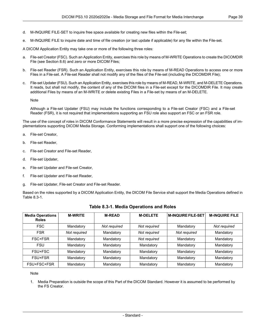- d. M-INQUIRE FILE-SET to inquire free space available for creating new files within the File-set;
- e. M-INQUIRE FILE to inquire date and time of file creation (or last update if applicable) for any file within the File-set.

A DICOM Application Entity may take one or more of the following three roles:

- a. File-set Creator (FSC). Such an Application Entity, exercises this role by means of M-WRITE Operations to create the DICOMDIR File (see [Section](#page-39-2) 8.6) and zero or more DICOM Files;
- b. File-set Reader (FSR). Such an Application Entity, exercises this role by means of M-READ Operations to access one or more Files in a File-set. A File-set Reader shall not modify any of the files of the File-set (including the DICOMDIR File);
- File-set Updater (FSU). Such an Application Entity, exercises this role by means of M-READ, M-WRITE, and M-DELETE Operations. It reads, but shall not modify, the content of any of the DICOM files in a File-set except for the DICOMDIR File. It may create additional Files by means of an M-WRITE or delete existing Files in a File-set by means of an M-DELETE.

Note

Although a File-set Updater (FSU) may include the functions corresponding to a File-set Creator (FSC) and a File-set Reader (FSR), it is not required that implementations supporting an FSU role also support an FSC or an FSR role.

The use of the concept of roles in DICOM Conformance Statements will result in a more precise expression of the capabilities of im plementations supporting DICOM Media Storage. Conforming implementations shall support one of the following choices:

- a. File-set Creator,
- b. File-set Reader,
- c. File-set Creator and File-set Reader,
- d. File-set Updater,
- e. File-set Updater and File-set Creator,
- f. File-set Updater and File-set Reader,
- <span id="page-38-0"></span>g. File-set Updater, File-set Creator and File-set Reader.

Based on the roles supported by a DICOM Application Entity, the DICOM File Service shall support the Media Operations defined in [Table](#page-38-0) 8.3-1.

| <b>Media Operations</b><br><b>Roles</b> | <b>M-WRITE</b> | <b>M-READ</b> | <b>M-DELETE</b> | <b>M-INQUIRE FILE-SET</b> | <b>M-INQUIRE FILE</b> |
|-----------------------------------------|----------------|---------------|-----------------|---------------------------|-----------------------|
| <b>FSC</b>                              | Mandatory      | Not required  | Not required    | Mandatory                 | Not required          |
| <b>FSR</b>                              | Not required   | Mandatory     | Not required    | Not required              | Mandatory             |
| FSC+FSR                                 | Mandatory      | Mandatory     | Not required    | Mandatory                 | Mandatory             |
| <b>FSU</b>                              | Mandatory      | Mandatory     | Mandatory       | Mandatory                 | Mandatory             |
| FSU+FSC                                 | Mandatory      | Mandatory     | Mandatory       | Mandatory                 | Mandatory             |
| FSU+FSR                                 | Mandatory      | Mandatory     | Mandatory       | Mandatory                 | Mandatory             |
| FSU+FSC+FSR                             | Mandatory      | Mandatory     | Mandatory       | Mandatory                 | Mandatory             |

#### **Table 8.3-1. Media Operations and Roles**

#### Note

1. Media Preparation is outside the scope of this Part of the DICOM Standard. However it is assumed to be performed by the FS Creator.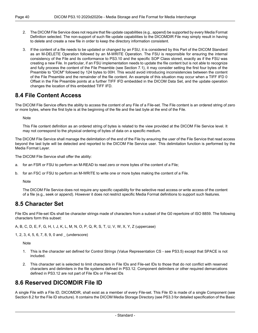- 2. The DICOM File Service does not require that file update capabilities (e.g., append) be supported by every Media Format Definition selected. The non-support of such file update capabilities to the DICOMDIR File may simply result in having to delete and create a new file in order to keep the directory information consistent.
- 3. If the content of a file needs to be updated or changed by an FSU, it is considered by this Part of the DICOM Standard as an M-DELETE Operation followed by an M-WRITE Operation. The FSU is responsible for ensuring the internal consistency of the File and its conformance to PS3.10 and the specific SOP Class stored, exactly as if the FSU was creating a new File. In particular, if an FSU implementation needs to update the file content but is not able to recognize and fully process the content of the File Preamble (see [Section](#page-30-1) 7.1), it may consider setting the first four bytes of the Preamble to "DICM" followed by 124 bytes to 00H. This would avoid introducing inconsistencies between the content of the File Preamble and the remainder of the file content. An example of this situation may occur when a TIFF IFD 0 Offset in the File Preamble points at a further TIFF IFD embedded in the DICOM Data Set, and the update operation changes the location of this embedded TIFF IFD.

### <span id="page-39-0"></span>**8.4 File Content Access**

The DICOM File Service offers the ability to access the content of any File of a File-set. The File content is an ordered string of zero or more bytes, where the first byte is at the beginning of the file and the last byte at the end of the File.

**Note** 

This File content definition as an ordered string of bytes is related to the view provided at the DICOM File Service level. It may not correspond to the physical ordering of bytes of data on a specific medium.

The DICOM File Service shall manage the delimitation of the end of the File by ensuring the user of the File Service that read access beyond the last byte will be detected and reported to the DICOM File Service user. This delimitation function is performed by the Media Format Layer.

The DICOM File Service shall offer the ability:

- a. for an FSR or FSU to perform an M-READ to read zero or more bytes of the content of a File;
- <span id="page-39-1"></span>b. for an FSC or FSU to perform an M-WRITE to write one or more bytes making the content of a File.

Note

The DICOM File Service does not require any specific capability for the selective read access or write access of the content of a file (e.g., seek or append). However it does not restrict specific Media Format definitions to support such features.

### **8.5 Character Set**

File IDs and File-set IDs shall be character strings made of characters from a subset of the G0 repertoire of ISO 8859. The following characters form this subset:

A, B, C, D, E, F, G, H, I, J, K, L, M, N, O, P, Q, R, S, T, U, V, W, X, Y, Z (uppercase)

1, 2, 3, 4, 5, 6, 7, 8, 9, 0 and \_ (underscore)

**Note** 

- <span id="page-39-2"></span>1. This is the character set defined for Control Strings (Value Representation CS - see [PS3.5\)](part05.pdf#PS3.5) except that SPACE is not included.
- 2. This character set is selected to limit characters in File IDs and File-set IDs to those that do not conflict with reserved characters and delimiters in the file systems defined in [PS3.12](part12.pdf#PS3.12). Component delimiters or other required demarcations defined in [PS3.12](part12.pdf#PS3.12) are not part of File IDs or File-set IDs

## **8.6 Reserved DICOMDIR File ID**

A single File with a File ID, DICOMDIR, shall exist as a member of every File-set. This File ID is made of a single Component (see [Section](#page-37-0) 8.2 for the File ID structure). It contains the DICOM Media Storage Directory (see [PS3.3](part03.pdf#PS3.3) for detailed specification of the Basic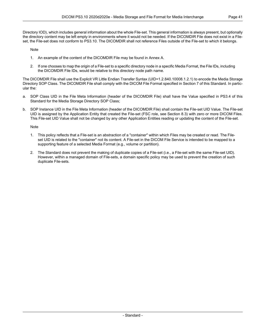Directory IOD), which includes general information about the whole File-set. This general information is always present, but optionally the directory content may be left empty in environments where it would not be needed. If the DICOMDIR File does not exist in a File set, the File-set does not conform to PS3.10. The DICOMDIR shall not reference Files outside of the File-set to which it belongs.

Note

- 1. An example of the content of the DICOMDIR File may be found in [Annex](#page-44-0) A.
- 2. If one chooses to map the origin of a File-set to a specific directory node in a specific Media Format, the File IDs, including the DICOMDIR File IDs, would be relative to this directory node path name.

The DICOMDIR File shall use the Explicit VR Little Endian Transfer Syntax (UID=1.2.840.10008.1.2.1) to encode the Media Storage Directory SOP Class. The DICOMDIR File shall comply with the DICOM File Format specified in Section 7 of this Standard. In partic ular the:

- a. SOP Class UID in the File Meta Information (header of the DICOMDIR File) shall have the Value specified in [PS3.4](part04.pdf#PS3.4) of this Standard for the Media Storage Directory SOP Class;
- b. SOP Instance UID in the File Meta Information (header of the DICOMDIR File) shall contain the File-set UID Value. The File-set UID is assigned by the Application Entity that created the File-set (FSC role, see [Section](#page-37-1) 8.3) with zero or more DICOM Files. This File-set UID Value shall not be changed by any other Application Entities reading or updating the content of the File-set.

#### Note

- 1. This policy reflects that a File-set is an abstraction of a "container" within which Files may be created or read. The File set UID is related to the "container" not its content. A File-set in the DICOM File Service is intended to be mapped to a supporting feature of a selected Media Format (e.g., volume or partition).
- 2. The Standard does not prevent the making of duplicate copies of a File-set (i.e., a File-set with the same File-set UID). However, within a managed domain of File-sets, a domain specific policy may be used to prevent the creation of such duplicate File-sets.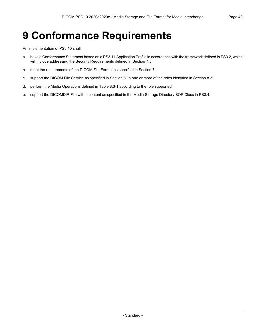## <span id="page-42-0"></span>**9 Conformance Requirements**

An implementation of PS3.10 shall:

- a. have a Conformance Statement based on a [PS3.11](part11.pdf#PS3.11) Application Profile in accordance with the framework defined in [PS3.2,](part02.pdf#PS3.2) which will include addressing the Security Requirements defined in [Section](#page-34-1) 7.5;
- b. meet the requirements of the DICOM File Format as specified in [Section](#page-30-0) 7;
- c. support the DICOM File Service as specified in [Section](#page-36-0) 8, in one or more of the roles identified in [Section](#page-37-1) 8.3;
- d. perform the Media Operations defined in [Table](#page-38-0) 8.3-1 according to the role supported;
- e. support the DICOMDIR File with a content as specified in the Media Storage Directory SOP Class in [PS3.4.](part04.pdf#PS3.4)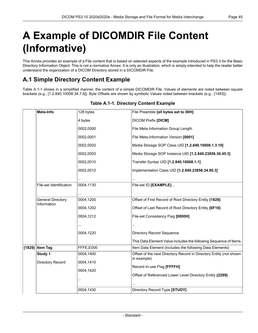# <span id="page-44-0"></span>**A Example of DICOMDIR File Content (Informative)**

<span id="page-44-1"></span>This Annex provides an example of a File content that is based on selected aspects of the example introduced in [PS3.3](part03.pdf#PS3.3) for the Basic Directory Information Object. This is not a normative Annex. It is only an illustration, which is simply intended to help the reader better understand the organization of a DICOM Directory stored in a DICOMDIR File.

## **A.1 Simple Directory Content Example**

<span id="page-44-2"></span>[Table](#page-44-2) A.1-1 shows in a simplified manner, the content of a simple DICOMDIR File. Values of elements are noted between square brackets (e.g., [1.2.840.10008.34.7.6]). Byte Offsets are shown by symbolic Values noted between brackets (e.g., {1493}).

| Media Storage SOP Instance UID [1.2.840.23856.36.45.3]             |
|--------------------------------------------------------------------|
|                                                                    |
|                                                                    |
|                                                                    |
|                                                                    |
|                                                                    |
|                                                                    |
|                                                                    |
|                                                                    |
|                                                                    |
|                                                                    |
|                                                                    |
|                                                                    |
|                                                                    |
|                                                                    |
|                                                                    |
| This Data Element Value includes the following Sequence of Items.  |
|                                                                    |
|                                                                    |
| Offset of the next Directory Record in Directory Entity (not shown |
|                                                                    |
|                                                                    |
|                                                                    |
|                                                                    |
| Item Data Element (includes the following Data Elements)           |

#### **Table A.1-1. Directory Content Example**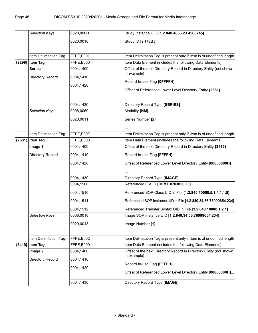|          | Selection Keys        | 0020,000D | Study Instance UID [1.2.840.4656.23.4568745]                         |
|----------|-----------------------|-----------|----------------------------------------------------------------------|
|          |                       |           |                                                                      |
|          |                       | 0020,0010 | Study ID [srt78UJ]                                                   |
|          |                       |           |                                                                      |
|          | Item Delimitation Tag | FFFE,E00D | Item Delimitation Tag is present only if Item is of undefined length |
| {2299}   | <b>Item Tag</b>       | FFFE,E000 | Item Data Element (includes the following Data Elements)             |
|          | Series <sub>1</sub>   | 0004,1400 | Offset of the next Directory Record in Directory Entity (not shown   |
|          | Directory Record      | 0004,1410 | in example)                                                          |
|          |                       |           | Record In-use Flag [OFFFFH]                                          |
|          |                       | 0004,1420 | Offset of Referenced Lower Level Directory Entity {2681}             |
|          |                       |           |                                                                      |
|          |                       |           |                                                                      |
|          |                       | 0004,1430 | Directory Record Type [SERIES]                                       |
|          | Selection Keys        | 0008,0060 | Modality [NM]                                                        |
|          |                       | 0020,0011 | Series Number [2]                                                    |
|          |                       |           |                                                                      |
|          | Item Delimitation Tag | FFFE,E00D | Item Delimitation Tag is present only if Item is of undefined length |
| ${2681}$ | <b>Item Tag</b>       | FFFE,E000 | Item Data Element (includes the following Data Elements)             |
|          | Image 1               | 0004,1400 | Offset of the next Directory Record in Directory Entity {3419}       |
|          | Directory Record      | 0004,1410 | Record In-use Flag [FFFFH]                                           |
|          |                       | 0004,1420 | Offset of Referenced Lower Level Directory Entity [00000000H]        |
|          |                       |           |                                                                      |
|          |                       | 0004,1430 | Directory Record Type [IMAGE]                                        |
|          |                       | 0004,1500 | Referenced File ID [DIR\TDRI\3856G3]                                 |
|          |                       | 0004,1510 | Referenced SOP Class UID in File [1.2.840.10008.5.1.4.1.1.5]         |
|          |                       | 0004,1511 | Referenced SOP Instance UID in File [1.2.840.34.56.78999654.234]     |
|          |                       | 0004,1512 | Referenced Transfer Syntax UID in File [1.2.840.10008.1.2.1]         |
|          | <b>Selection Kevs</b> | 0008,0018 | Image SOP Instance UID [1.2.840.34.56.78999654.234]                  |
|          |                       | 0020,0013 | Image Number [1]                                                     |
|          |                       |           |                                                                      |
|          | Item Delimitation Tag | FFFE,E00D | Item Delimitation Tag is present only if Item is of undefined length |
| ${3419}$ | <b>Item Tag</b>       | FFFE,E000 | Item Data Element (includes the following Data Elements)             |
|          | Image 2               | 0004,1400 | Offset of the next Directory Record in Directory Entity (not shown   |
|          | Directory Record      |           | in example)                                                          |
|          |                       | 0004,1410 | Record In-use Flag [FFFFH]                                           |
|          |                       | 0004,1420 |                                                                      |
|          |                       |           | Offset of Referenced Lower Level Directory Entity [00000000H]        |
|          |                       | 0004,1430 | Directory Record Type [IMAGE]                                        |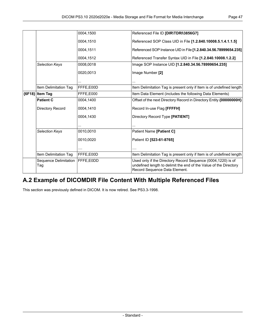|          |                              | 0004,1500 | Referenced File ID [DIR\TDRI\3856G7]                                                                                                                               |
|----------|------------------------------|-----------|--------------------------------------------------------------------------------------------------------------------------------------------------------------------|
|          |                              | 0004,1510 | Referenced SOP Class UID in File [1.2.840.10008.5.1.4.1.1.5]                                                                                                       |
|          |                              | 0004,1511 | Referenced SOP Instance UID in File [1.2.840.34.56.78999654.235]                                                                                                   |
|          |                              | 0004.1512 | Referenced Transfer Syntax UID in File [1.2.840.10008.1.2.2]                                                                                                       |
|          | <b>Selection Keys</b>        | 0008,0018 | Image SOP Instance UID [1.2.840.34.56.78999654.235]                                                                                                                |
|          |                              | 0020,0013 | Image Number [2]                                                                                                                                                   |
|          |                              |           |                                                                                                                                                                    |
|          | Item Delimitation Tag        | FFFE,E00D | Item Delimitation Tag is present only if Item is of undefined length                                                                                               |
| ${6F18}$ | <b>Item Tag</b>              | FFFE,E000 | Item Data Element (includes the following Data Elements)                                                                                                           |
|          | <b>Patient C</b>             | 0004.1400 | Offset of the next Directory Record in Directory Entity {00000000H}                                                                                                |
|          | Directory Record             | 0004,1410 | Record In-use Flag [FFFFH]                                                                                                                                         |
|          |                              | 0004,1430 | Directory Record Type [PATIENT]                                                                                                                                    |
|          |                              |           |                                                                                                                                                                    |
|          | <b>Selection Keys</b>        | 0010,0010 | Patient Name [Patient C]                                                                                                                                           |
|          |                              | 0010.0020 | Patient ID [523-61-8765]                                                                                                                                           |
|          |                              | .         | .                                                                                                                                                                  |
|          | Item Delimitation Tag        | FFFE,E00D | Item Delimitation Tag is present only if Item is of undefined length                                                                                               |
|          | Sequence Delimitation<br>Tag | FFFE,E0DD | Used only if the Directory Record Sequence (0004,1220) is of<br>undefined length to delimit the end of the Value of the Directory<br>Record Sequence Data Element. |

## <span id="page-46-0"></span>**A.2 Example of DICOMDIR File Content With Multiple Referenced Files**

This section was previously defined in DICOM. It is now retired. See PS3.3-1998.